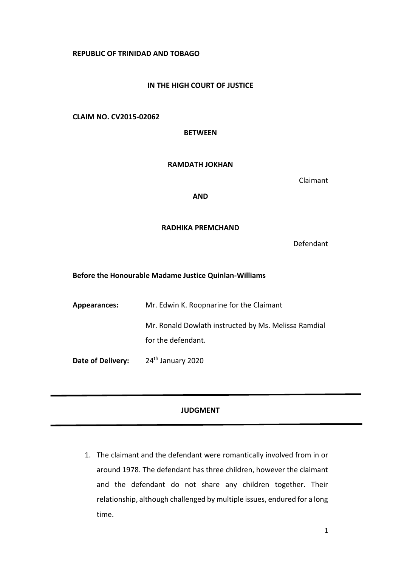## **REPUBLIC OF TRINIDAD AND TOBAGO**

## **IN THE HIGH COURT OF JUSTICE**

# **CLAIM NO. CV2015-02062**

**BETWEEN**

#### **RAMDATH JOKHAN**

Claimant

## **AND**

## **RADHIKA PREMCHAND**

Defendant

#### **Before the Honourable Madame Justice Quinlan-Williams**

| Appearances:      | Mr. Edwin K. Roopnarine for the Claimant             |
|-------------------|------------------------------------------------------|
|                   | Mr. Ronald Dowlath instructed by Ms. Melissa Ramdial |
|                   | for the defendant.                                   |
| Date of Delivery: | 24 <sup>th</sup> January 2020                        |

# **JUDGMENT**

1. The claimant and the defendant were romantically involved from in or around 1978. The defendant has three children, however the claimant and the defendant do not share any children together. Their relationship, although challenged by multiple issues, endured for a long time.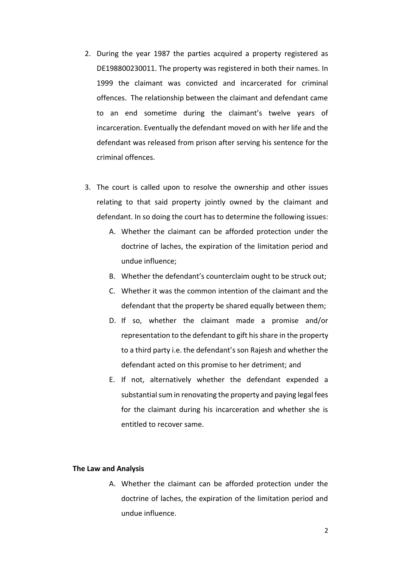- 2. During the year 1987 the parties acquired a property registered as DE198800230011. The property was registered in both their names. In 1999 the claimant was convicted and incarcerated for criminal offences. The relationship between the claimant and defendant came to an end sometime during the claimant's twelve years of incarceration. Eventually the defendant moved on with her life and the defendant was released from prison after serving his sentence for the criminal offences.
- 3. The court is called upon to resolve the ownership and other issues relating to that said property jointly owned by the claimant and defendant. In so doing the court has to determine the following issues:
	- A. Whether the claimant can be afforded protection under the doctrine of laches, the expiration of the limitation period and undue influence;
	- B. Whether the defendant's counterclaim ought to be struck out;
	- C. Whether it was the common intention of the claimant and the defendant that the property be shared equally between them;
	- D. If so, whether the claimant made a promise and/or representation to the defendant to gift his share in the property to a third party i.e. the defendant's son Rajesh and whether the defendant acted on this promise to her detriment; and
	- E. If not, alternatively whether the defendant expended a substantial sum in renovating the property and paying legal fees for the claimant during his incarceration and whether she is entitled to recover same.

#### **The Law and Analysis**

A. Whether the claimant can be afforded protection under the doctrine of laches, the expiration of the limitation period and undue influence.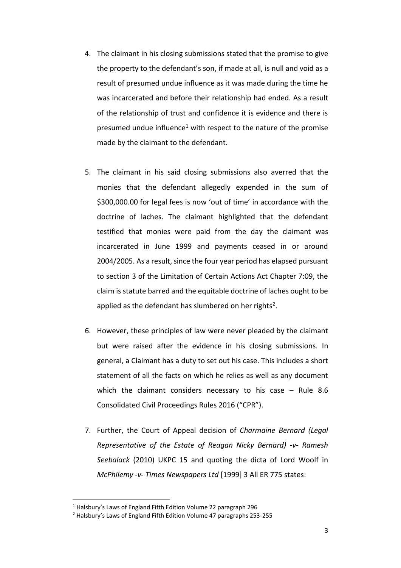- 4. The claimant in his closing submissions stated that the promise to give the property to the defendant's son, if made at all, is null and void as a result of presumed undue influence as it was made during the time he was incarcerated and before their relationship had ended. As a result of the relationship of trust and confidence it is evidence and there is presumed undue influence<sup>1</sup> with respect to the nature of the promise made by the claimant to the defendant.
- 5. The claimant in his said closing submissions also averred that the monies that the defendant allegedly expended in the sum of \$300,000.00 for legal fees is now 'out of time' in accordance with the doctrine of laches. The claimant highlighted that the defendant testified that monies were paid from the day the claimant was incarcerated in June 1999 and payments ceased in or around 2004/2005. As a result, since the four year period has elapsed pursuant to section 3 of the Limitation of Certain Actions Act Chapter 7:09, the claim is statute barred and the equitable doctrine of laches ought to be applied as the defendant has slumbered on her rights<sup>2</sup>.
- 6. However, these principles of law were never pleaded by the claimant but were raised after the evidence in his closing submissions. In general, a Claimant has a duty to set out his case. This includes a short statement of all the facts on which he relies as well as any document which the claimant considers necessary to his case – Rule 8.6 Consolidated Civil Proceedings Rules 2016 ("CPR").
- 7. Further, the Court of Appeal decision of *Charmaine Bernard (Legal Representative of the Estate of Reagan Nicky Bernard) -v- Ramesh Seebalack* (2010) UKPC 15 and quoting the dicta of Lord Woolf in *McPhilemy -v- Times Newspapers Ltd* [1999] 3 All ER 775 states:

1

<sup>1</sup> Halsbury's Laws of England Fifth Edition Volume 22 paragraph 296

<sup>2</sup> Halsbury's Laws of England Fifth Edition Volume 47 paragraphs 253-255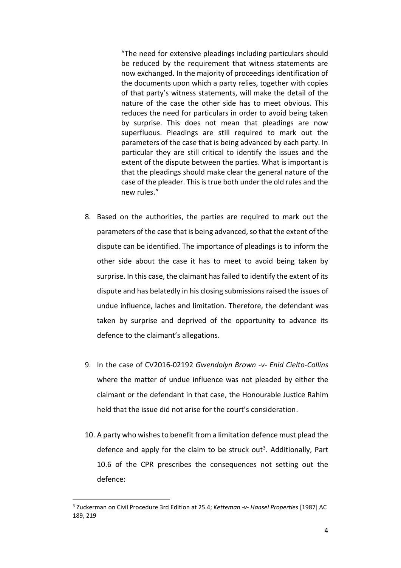"The need for extensive pleadings including particulars should be reduced by the requirement that witness statements are now exchanged. In the majority of proceedings identification of the documents upon which a party relies, together with copies of that party's witness statements, will make the detail of the nature of the case the other side has to meet obvious. This reduces the need for particulars in order to avoid being taken by surprise. This does not mean that pleadings are now superfluous. Pleadings are still required to mark out the parameters of the case that is being advanced by each party. In particular they are still critical to identify the issues and the extent of the dispute between the parties. What is important is that the pleadings should make clear the general nature of the case of the pleader. This is true both under the old rules and the new rules."

- 8. Based on the authorities, the parties are required to mark out the parameters of the case that is being advanced, so that the extent of the dispute can be identified. The importance of pleadings is to inform the other side about the case it has to meet to avoid being taken by surprise. In this case, the claimant has failed to identify the extent of its dispute and has belatedly in his closing submissions raised the issues of undue influence, laches and limitation. Therefore, the defendant was taken by surprise and deprived of the opportunity to advance its defence to the claimant's allegations.
- 9. In the case of CV2016-02192 *Gwendolyn Brown -v- Enid Cielto-Collins*  where the matter of undue influence was not pleaded by either the claimant or the defendant in that case, the Honourable Justice Rahim held that the issue did not arise for the court's consideration.
- 10. A party who wishes to benefit from a limitation defence must plead the defence and apply for the claim to be struck out<sup>3</sup>. Additionally, Part 10.6 of the CPR prescribes the consequences not setting out the defence:

1

<sup>3</sup> Zuckerman on Civil Procedure 3rd Edition at 25.4; *Ketteman -v- Hansel Properties* [1987] AC 189, 219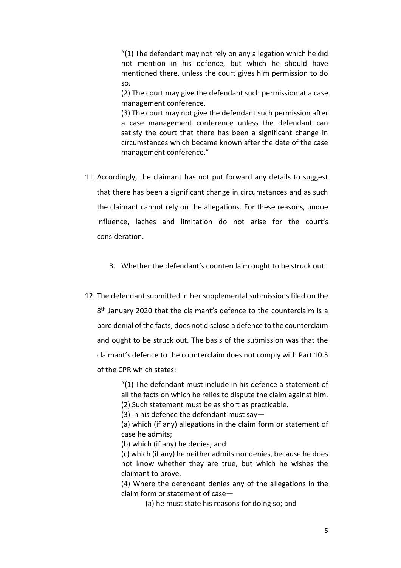"(1) The defendant may not rely on any allegation which he did not mention in his defence, but which he should have mentioned there, unless the court gives him permission to do so.

(2) The court may give the defendant such permission at a case management conference.

(3) The court may not give the defendant such permission after a case management conference unless the defendant can satisfy the court that there has been a significant change in circumstances which became known after the date of the case management conference."

- 11. Accordingly, the claimant has not put forward any details to suggest that there has been a significant change in circumstances and as such the claimant cannot rely on the allegations. For these reasons, undue influence, laches and limitation do not arise for the court's consideration.
	- B. Whether the defendant's counterclaim ought to be struck out
- 12. The defendant submitted in her supplemental submissions filed on the 8<sup>th</sup> January 2020 that the claimant's defence to the counterclaim is a bare denial of the facts, does not disclose a defence to the counterclaim and ought to be struck out. The basis of the submission was that the claimant's defence to the counterclaim does not comply with Part 10.5 of the CPR which states:

"(1) The defendant must include in his defence a statement of all the facts on which he relies to dispute the claim against him. (2) Such statement must be as short as practicable.

(3) In his defence the defendant must say—

(a) which (if any) allegations in the claim form or statement of case he admits;

(b) which (if any) he denies; and

(c) which (if any) he neither admits nor denies, because he does not know whether they are true, but which he wishes the claimant to prove.

(4) Where the defendant denies any of the allegations in the claim form or statement of case—

(a) he must state his reasons for doing so; and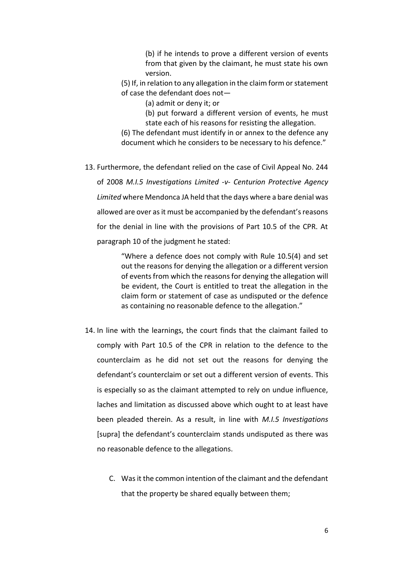(b) if he intends to prove a different version of events from that given by the claimant, he must state his own version.

(5) If, in relation to any allegation in the claim form or statement of case the defendant does not—

(a) admit or deny it; or

(b) put forward a different version of events, he must state each of his reasons for resisting the allegation.

(6) The defendant must identify in or annex to the defence any document which he considers to be necessary to his defence."

13. Furthermore, the defendant relied on the case of Civil Appeal No. 244 of 2008 *M.I.5 Investigations Limited -v- Centurion Protective Agency Limited* where Mendonca JA held that the days where a bare denial was allowed are over as it must be accompanied by the defendant's reasons for the denial in line with the provisions of Part 10.5 of the CPR. At paragraph 10 of the judgment he stated:

> "Where a defence does not comply with Rule 10.5(4) and set out the reasons for denying the allegation or a different version of events from which the reasons for denying the allegation will be evident, the Court is entitled to treat the allegation in the claim form or statement of case as undisputed or the defence as containing no reasonable defence to the allegation."

- 14. In line with the learnings, the court finds that the claimant failed to comply with Part 10.5 of the CPR in relation to the defence to the counterclaim as he did not set out the reasons for denying the defendant's counterclaim or set out a different version of events. This is especially so as the claimant attempted to rely on undue influence, laches and limitation as discussed above which ought to at least have been pleaded therein. As a result, in line with *M.I.5 Investigations*  [supra] the defendant's counterclaim stands undisputed as there was no reasonable defence to the allegations.
	- C. Was it the common intention of the claimant and the defendant that the property be shared equally between them;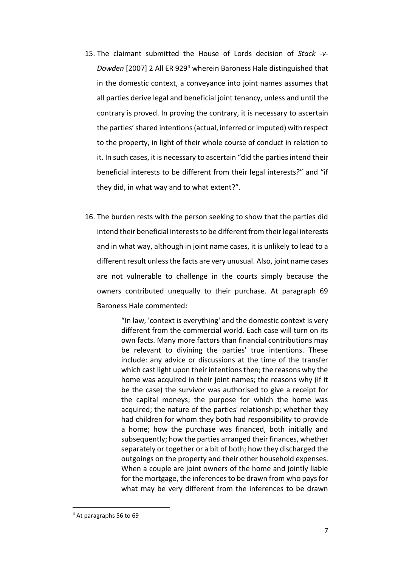- 15. The claimant submitted the House of Lords decision of *Stack -v-Dowden* [2007] 2 All ER 929<sup>4</sup> wherein Baroness Hale distinguished that in the domestic context, a conveyance into joint names assumes that all parties derive legal and beneficial joint tenancy, unless and until the contrary is proved. In proving the contrary, it is necessary to ascertain the parties' shared intentions (actual, inferred or imputed) with respect to the property, in light of their whole course of conduct in relation to it. In such cases, it is necessary to ascertain "did the parties intend their beneficial interests to be different from their legal interests?" and "if they did, in what way and to what extent?".
- 16. The burden rests with the person seeking to show that the parties did intend their beneficial interests to be different from their legal interests and in what way, although in joint name cases, it is unlikely to lead to a different result unless the facts are very unusual. Also, joint name cases are not vulnerable to challenge in the courts simply because the owners contributed unequally to their purchase. At paragraph 69 Baroness Hale commented:

"In law, 'context is everything' and the domestic context is very different from the commercial world. Each case will turn on its own facts. Many more factors than financial contributions may be relevant to divining the parties' true intentions. These include: any advice or discussions at the time of the transfer which cast light upon their intentions then; the reasons why the home was acquired in their joint names; the reasons why (if it be the case) the survivor was authorised to give a receipt for the capital moneys; the purpose for which the home was acquired; the nature of the parties' relationship; whether they had children for whom they both had responsibility to provide a home; how the purchase was financed, both initially and subsequently; how the parties arranged their finances, whether separately or together or a bit of both; how they discharged the outgoings on the property and their other household expenses. When a couple are joint owners of the home and jointly liable for the mortgage, the inferences to be drawn from who pays for what may be very different from the inferences to be drawn

<sup>4</sup> At paragraphs 56 to 69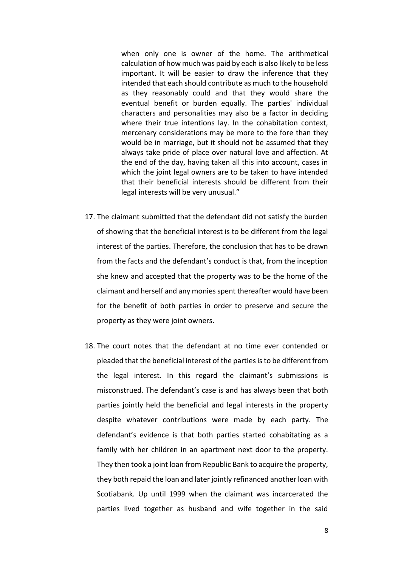when only one is owner of the home. The arithmetical calculation of how much was paid by each is also likely to be less important. It will be easier to draw the inference that they intended that each should contribute as much to the household as they reasonably could and that they would share the eventual benefit or burden equally. The parties' individual characters and personalities may also be a factor in deciding where their true intentions lay. In the cohabitation context, mercenary considerations may be more to the fore than they would be in marriage, but it should not be assumed that they always take pride of place over natural love and affection. At the end of the day, having taken all this into account, cases in which the joint legal owners are to be taken to have intended that their beneficial interests should be different from their legal interests will be very unusual."

- 17. The claimant submitted that the defendant did not satisfy the burden of showing that the beneficial interest is to be different from the legal interest of the parties. Therefore, the conclusion that has to be drawn from the facts and the defendant's conduct is that, from the inception she knew and accepted that the property was to be the home of the claimant and herself and any monies spent thereafter would have been for the benefit of both parties in order to preserve and secure the property as they were joint owners.
- 18. The court notes that the defendant at no time ever contended or pleaded that the beneficial interest of the partiesis to be different from the legal interest. In this regard the claimant's submissions is misconstrued. The defendant's case is and has always been that both parties jointly held the beneficial and legal interests in the property despite whatever contributions were made by each party. The defendant's evidence is that both parties started cohabitating as a family with her children in an apartment next door to the property. They then took a joint loan from Republic Bank to acquire the property, they both repaid the loan and later jointly refinanced another loan with Scotiabank. Up until 1999 when the claimant was incarcerated the parties lived together as husband and wife together in the said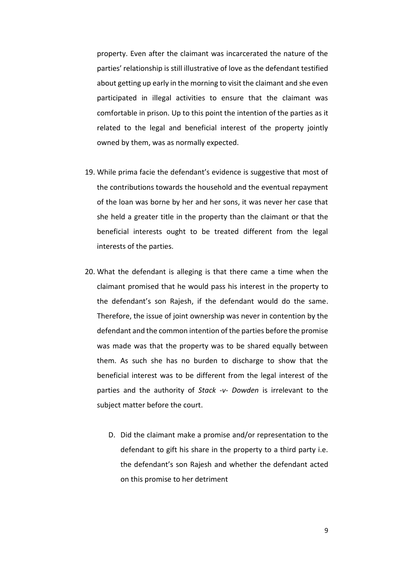property. Even after the claimant was incarcerated the nature of the parties' relationship is still illustrative of love as the defendant testified about getting up early in the morning to visit the claimant and she even participated in illegal activities to ensure that the claimant was comfortable in prison. Up to this point the intention of the parties as it related to the legal and beneficial interest of the property jointly owned by them, was as normally expected.

- 19. While prima facie the defendant's evidence is suggestive that most of the contributions towards the household and the eventual repayment of the loan was borne by her and her sons, it was never her case that she held a greater title in the property than the claimant or that the beneficial interests ought to be treated different from the legal interests of the parties.
- 20. What the defendant is alleging is that there came a time when the claimant promised that he would pass his interest in the property to the defendant's son Rajesh, if the defendant would do the same. Therefore, the issue of joint ownership was never in contention by the defendant and the common intention of the parties before the promise was made was that the property was to be shared equally between them. As such she has no burden to discharge to show that the beneficial interest was to be different from the legal interest of the parties and the authority of *Stack -v- Dowden* is irrelevant to the subject matter before the court.
	- D. Did the claimant make a promise and/or representation to the defendant to gift his share in the property to a third party i.e. the defendant's son Rajesh and whether the defendant acted on this promise to her detriment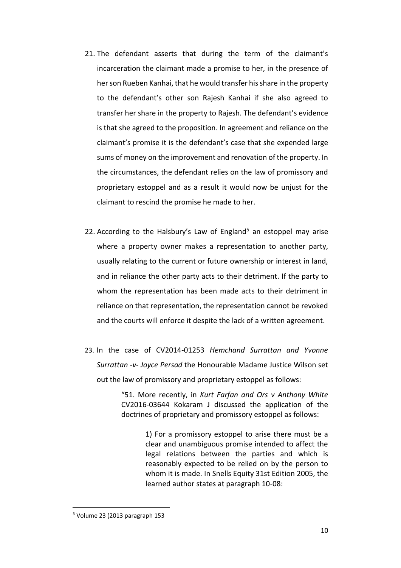- 21. The defendant asserts that during the term of the claimant's incarceration the claimant made a promise to her, in the presence of her son Rueben Kanhai, that he would transfer his share in the property to the defendant's other son Rajesh Kanhai if she also agreed to transfer her share in the property to Rajesh. The defendant's evidence is that she agreed to the proposition. In agreement and reliance on the claimant's promise it is the defendant's case that she expended large sums of money on the improvement and renovation of the property. In the circumstances, the defendant relies on the law of promissory and proprietary estoppel and as a result it would now be unjust for the claimant to rescind the promise he made to her.
- 22. According to the Halsbury's Law of England<sup>5</sup> an estoppel may arise where a property owner makes a representation to another party, usually relating to the current or future ownership or interest in land, and in reliance the other party acts to their detriment. If the party to whom the representation has been made acts to their detriment in reliance on that representation, the representation cannot be revoked and the courts will enforce it despite the lack of a written agreement.
- 23. In the case of CV2014-01253 *Hemchand Surrattan and Yvonne Surrattan -v- Joyce Persad* the Honourable Madame Justice Wilson set out the law of promissory and proprietary estoppel as follows:

"51. More recently, in *Kurt Farfan and Ors v Anthony White* CV2016-03644 Kokaram J discussed the application of the doctrines of proprietary and promissory estoppel as follows:

> 1) For a promissory estoppel to arise there must be a clear and unambiguous promise intended to affect the legal relations between the parties and which is reasonably expected to be relied on by the person to whom it is made. In Snells Equity 31st Edition 2005, the learned author states at paragraph 10-08:

 $5$  Volume 23 (2013 paragraph 153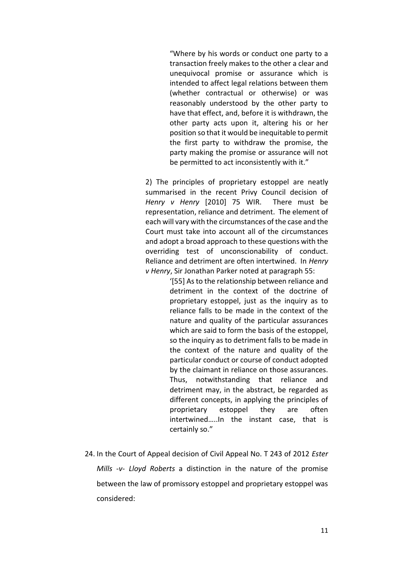"Where by his words or conduct one party to a transaction freely makes to the other a clear and unequivocal promise or assurance which is intended to affect legal relations between them (whether contractual or otherwise) or was reasonably understood by the other party to have that effect, and, before it is withdrawn, the other party acts upon it, altering his or her position so that it would be inequitable to permit the first party to withdraw the promise, the party making the promise or assurance will not be permitted to act inconsistently with it."

2) The principles of proprietary estoppel are neatly summarised in the recent Privy Council decision of *Henry v Henry* [2010] 75 WIR. There must be representation, reliance and detriment. The element of each will vary with the circumstances of the case and the Court must take into account all of the circumstances and adopt a broad approach to these questions with the overriding test of unconscionability of conduct. Reliance and detriment are often intertwined. In *Henry v Henry*, Sir Jonathan Parker noted at paragraph 55:

> '[55] As to the relationship between reliance and detriment in the context of the doctrine of proprietary estoppel, just as the inquiry as to reliance falls to be made in the context of the nature and quality of the particular assurances which are said to form the basis of the estoppel, so the inquiry as to detriment falls to be made in the context of the nature and quality of the particular conduct or course of conduct adopted by the claimant in reliance on those assurances. Thus, notwithstanding that reliance and detriment may, in the abstract, be regarded as different concepts, in applying the principles of proprietary estoppel they are often intertwined…..In the instant case, that is certainly so."

24. In the Court of Appeal decision of Civil Appeal No. T 243 of 2012 *Ester Mills -v- Lloyd Roberts* a distinction in the nature of the promise between the law of promissory estoppel and proprietary estoppel was considered: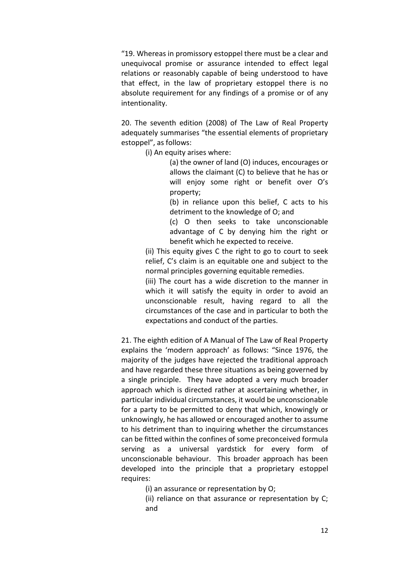"19. Whereas in promissory estoppel there must be a clear and unequivocal promise or assurance intended to effect legal relations or reasonably capable of being understood to have that effect, in the law of proprietary estoppel there is no absolute requirement for any findings of a promise or of any intentionality.

20. The seventh edition (2008) of The Law of Real Property adequately summarises "the essential elements of proprietary estoppel", as follows:

(i) An equity arises where:

(a) the owner of land (O) induces, encourages or allows the claimant (C) to believe that he has or will enjoy some right or benefit over O's property;

(b) in reliance upon this belief, C acts to his detriment to the knowledge of O; and

(c) O then seeks to take unconscionable advantage of C by denying him the right or benefit which he expected to receive.

(ii) This equity gives C the right to go to court to seek relief, C's claim is an equitable one and subject to the normal principles governing equitable remedies.

(iii) The court has a wide discretion to the manner in which it will satisfy the equity in order to avoid an unconscionable result, having regard to all the circumstances of the case and in particular to both the expectations and conduct of the parties.

21. The eighth edition of A Manual of The Law of Real Property explains the 'modern approach' as follows: "Since 1976, the majority of the judges have rejected the traditional approach and have regarded these three situations as being governed by a single principle. They have adopted a very much broader approach which is directed rather at ascertaining whether, in particular individual circumstances, it would be unconscionable for a party to be permitted to deny that which, knowingly or unknowingly, he has allowed or encouraged another to assume to his detriment than to inquiring whether the circumstances can be fitted within the confines of some preconceived formula serving as a universal yardstick for every form of unconscionable behaviour. This broader approach has been developed into the principle that a proprietary estoppel requires:

(i) an assurance or representation by O;

(ii) reliance on that assurance or representation by C; and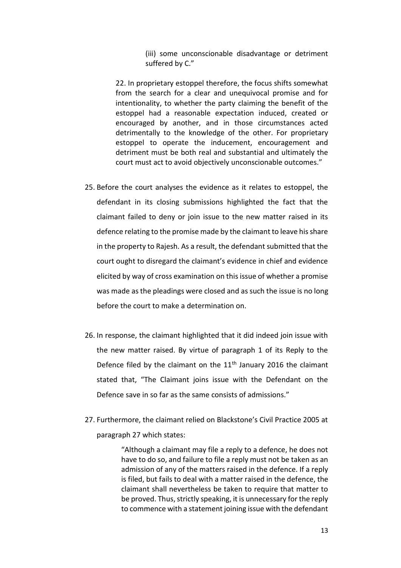(iii) some unconscionable disadvantage or detriment suffered by C."

22. In proprietary estoppel therefore, the focus shifts somewhat from the search for a clear and unequivocal promise and for intentionality, to whether the party claiming the benefit of the estoppel had a reasonable expectation induced, created or encouraged by another, and in those circumstances acted detrimentally to the knowledge of the other. For proprietary estoppel to operate the inducement, encouragement and detriment must be both real and substantial and ultimately the court must act to avoid objectively unconscionable outcomes."

- 25. Before the court analyses the evidence as it relates to estoppel, the defendant in its closing submissions highlighted the fact that the claimant failed to deny or join issue to the new matter raised in its defence relating to the promise made by the claimant to leave his share in the property to Rajesh. As a result, the defendant submitted that the court ought to disregard the claimant's evidence in chief and evidence elicited by way of cross examination on this issue of whether a promise was made as the pleadings were closed and as such the issue is no long before the court to make a determination on.
- 26. In response, the claimant highlighted that it did indeed join issue with the new matter raised. By virtue of paragraph 1 of its Reply to the Defence filed by the claimant on the  $11<sup>th</sup>$  January 2016 the claimant stated that, "The Claimant joins issue with the Defendant on the Defence save in so far as the same consists of admissions."
- 27. Furthermore, the claimant relied on Blackstone's Civil Practice 2005 at paragraph 27 which states:

"Although a claimant may file a reply to a defence, he does not have to do so, and failure to file a reply must not be taken as an admission of any of the matters raised in the defence. If a reply is filed, but fails to deal with a matter raised in the defence, the claimant shall nevertheless be taken to require that matter to be proved. Thus, strictly speaking, it is unnecessary for the reply to commence with a statement joining issue with the defendant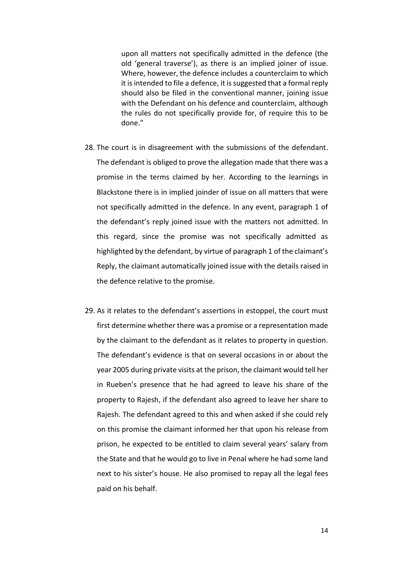upon all matters not specifically admitted in the defence (the old 'general traverse'), as there is an implied joiner of issue. Where, however, the defence includes a counterclaim to which it is intended to file a defence, it is suggested that a formal reply should also be filed in the conventional manner, joining issue with the Defendant on his defence and counterclaim, although the rules do not specifically provide for, of require this to be done."

- 28. The court is in disagreement with the submissions of the defendant. The defendant is obliged to prove the allegation made that there was a promise in the terms claimed by her. According to the learnings in Blackstone there is in implied joinder of issue on all matters that were not specifically admitted in the defence. In any event, paragraph 1 of the defendant's reply joined issue with the matters not admitted. In this regard, since the promise was not specifically admitted as highlighted by the defendant, by virtue of paragraph 1 of the claimant's Reply, the claimant automatically joined issue with the details raised in the defence relative to the promise.
- 29. As it relates to the defendant's assertions in estoppel, the court must first determine whether there was a promise or a representation made by the claimant to the defendant as it relates to property in question. The defendant's evidence is that on several occasions in or about the year 2005 during private visits at the prison, the claimant would tell her in Rueben's presence that he had agreed to leave his share of the property to Rajesh, if the defendant also agreed to leave her share to Rajesh. The defendant agreed to this and when asked if she could rely on this promise the claimant informed her that upon his release from prison, he expected to be entitled to claim several years' salary from the State and that he would go to live in Penal where he had some land next to his sister's house. He also promised to repay all the legal fees paid on his behalf.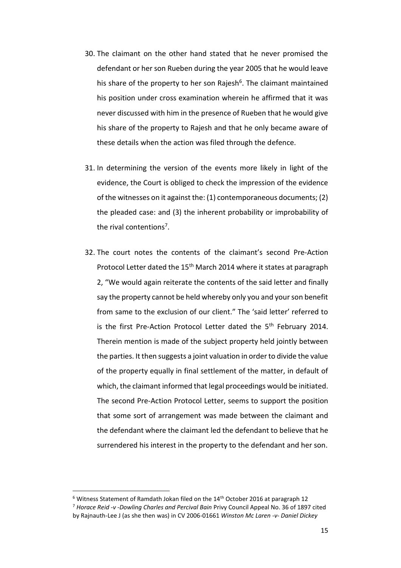- 30. The claimant on the other hand stated that he never promised the defendant or her son Rueben during the year 2005 that he would leave his share of the property to her son Rajesh<sup>6</sup>. The claimant maintained his position under cross examination wherein he affirmed that it was never discussed with him in the presence of Rueben that he would give his share of the property to Rajesh and that he only became aware of these details when the action was filed through the defence.
- 31. In determining the version of the events more likely in light of the evidence, the Court is obliged to check the impression of the evidence of the witnesses on it against the: (1) contemporaneous documents; (2) the pleaded case: and (3) the inherent probability or improbability of the rival contentions<sup>7</sup>.
- 32. The court notes the contents of the claimant's second Pre-Action Protocol Letter dated the 15<sup>th</sup> March 2014 where it states at paragraph 2, "We would again reiterate the contents of the said letter and finally say the property cannot be held whereby only you and your son benefit from same to the exclusion of our client." The 'said letter' referred to is the first Pre-Action Protocol Letter dated the  $5<sup>th</sup>$  February 2014. Therein mention is made of the subject property held jointly between the parties. It then suggests a joint valuation in order to divide the value of the property equally in final settlement of the matter, in default of which, the claimant informed that legal proceedings would be initiated. The second Pre-Action Protocol Letter, seems to support the position that some sort of arrangement was made between the claimant and the defendant where the claimant led the defendant to believe that he surrendered his interest in the property to the defendant and her son.

 $6$  Witness Statement of Ramdath Jokan filed on the  $14<sup>th</sup>$  October 2016 at paragraph 12

<sup>7</sup> *Horace Reid -v -Dowling Charles and Percival Bain* Privy Council Appeal No. 36 of 1897 cited by Rajnauth-Lee J (as she then was) in CV 2006-01661 *Winston Mc Laren -v- Daniel Dickey*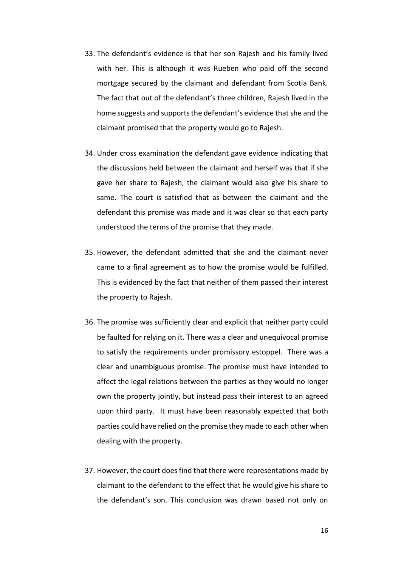- 33. The defendant's evidence is that her son Rajesh and his family lived with her. This is although it was Rueben who paid off the second mortgage secured by the claimant and defendant from Scotia Bank. The fact that out of the defendant's three children, Rajesh lived in the home suggests and supports the defendant's evidence that she and the claimant promised that the property would go to Rajesh.
- 34. Under cross examination the defendant gave evidence indicating that the discussions held between the claimant and herself was that if she gave her share to Rajesh, the claimant would also give his share to same. The court is satisfied that as between the claimant and the defendant this promise was made and it was clear so that each party understood the terms of the promise that they made.
- 35. However, the defendant admitted that she and the claimant never came to a final agreement as to how the promise would be fulfilled. This is evidenced by the fact that neither of them passed their interest the property to Rajesh.
- 36. The promise was sufficiently clear and explicit that neither party could be faulted for relying on it. There was a clear and unequivocal promise to satisfy the requirements under promissory estoppel. There was a clear and unambiguous promise. The promise must have intended to affect the legal relations between the parties as they would no longer own the property jointly, but instead pass their interest to an agreed upon third party. It must have been reasonably expected that both parties could have relied on the promise they made to each other when dealing with the property.
- 37. However, the court does find that there were representations made by claimant to the defendant to the effect that he would give his share to the defendant's son. This conclusion was drawn based not only on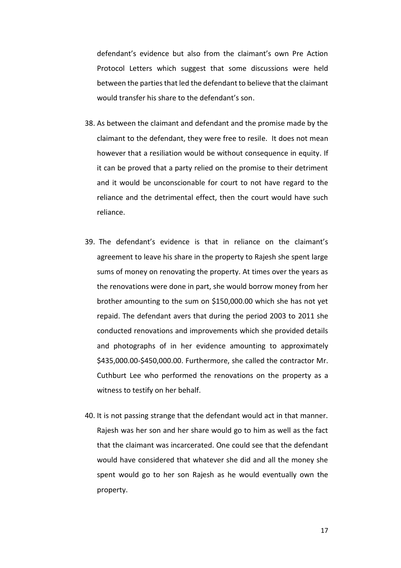defendant's evidence but also from the claimant's own Pre Action Protocol Letters which suggest that some discussions were held between the parties that led the defendant to believe that the claimant would transfer his share to the defendant's son.

- 38. As between the claimant and defendant and the promise made by the claimant to the defendant, they were free to resile. It does not mean however that a resiliation would be without consequence in equity. If it can be proved that a party relied on the promise to their detriment and it would be unconscionable for court to not have regard to the reliance and the detrimental effect, then the court would have such reliance.
- 39. The defendant's evidence is that in reliance on the claimant's agreement to leave his share in the property to Rajesh she spent large sums of money on renovating the property. At times over the years as the renovations were done in part, she would borrow money from her brother amounting to the sum on \$150,000.00 which she has not yet repaid. The defendant avers that during the period 2003 to 2011 she conducted renovations and improvements which she provided details and photographs of in her evidence amounting to approximately \$435,000.00-\$450,000.00. Furthermore, she called the contractor Mr. Cuthburt Lee who performed the renovations on the property as a witness to testify on her behalf.
- 40. It is not passing strange that the defendant would act in that manner. Rajesh was her son and her share would go to him as well as the fact that the claimant was incarcerated. One could see that the defendant would have considered that whatever she did and all the money she spent would go to her son Rajesh as he would eventually own the property.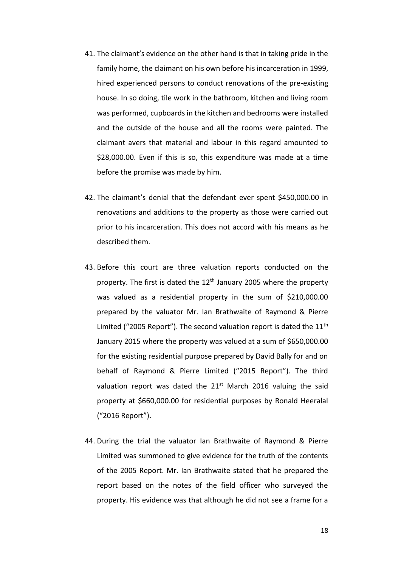- 41. The claimant's evidence on the other hand is that in taking pride in the family home, the claimant on his own before his incarceration in 1999, hired experienced persons to conduct renovations of the pre-existing house. In so doing, tile work in the bathroom, kitchen and living room was performed, cupboards in the kitchen and bedrooms were installed and the outside of the house and all the rooms were painted. The claimant avers that material and labour in this regard amounted to \$28,000.00. Even if this is so, this expenditure was made at a time before the promise was made by him.
- 42. The claimant's denial that the defendant ever spent \$450,000.00 in renovations and additions to the property as those were carried out prior to his incarceration. This does not accord with his means as he described them.
- 43. Before this court are three valuation reports conducted on the property. The first is dated the  $12<sup>th</sup>$  January 2005 where the property was valued as a residential property in the sum of \$210,000.00 prepared by the valuator Mr. Ian Brathwaite of Raymond & Pierre Limited ("2005 Report"). The second valuation report is dated the  $11<sup>th</sup>$ January 2015 where the property was valued at a sum of \$650,000.00 for the existing residential purpose prepared by David Bally for and on behalf of Raymond & Pierre Limited ("2015 Report"). The third valuation report was dated the  $21<sup>st</sup>$  March 2016 valuing the said property at \$660,000.00 for residential purposes by Ronald Heeralal ("2016 Report").
- 44. During the trial the valuator Ian Brathwaite of Raymond & Pierre Limited was summoned to give evidence for the truth of the contents of the 2005 Report. Mr. Ian Brathwaite stated that he prepared the report based on the notes of the field officer who surveyed the property. His evidence was that although he did not see a frame for a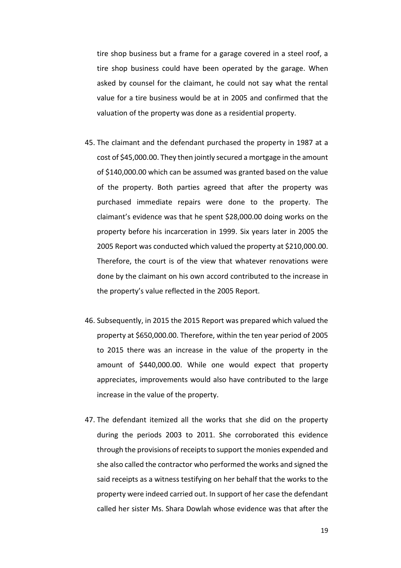tire shop business but a frame for a garage covered in a steel roof, a tire shop business could have been operated by the garage. When asked by counsel for the claimant, he could not say what the rental value for a tire business would be at in 2005 and confirmed that the valuation of the property was done as a residential property.

- 45. The claimant and the defendant purchased the property in 1987 at a cost of \$45,000.00. They then jointly secured a mortgage in the amount of \$140,000.00 which can be assumed was granted based on the value of the property. Both parties agreed that after the property was purchased immediate repairs were done to the property. The claimant's evidence was that he spent \$28,000.00 doing works on the property before his incarceration in 1999. Six years later in 2005 the 2005 Report was conducted which valued the property at \$210,000.00. Therefore, the court is of the view that whatever renovations were done by the claimant on his own accord contributed to the increase in the property's value reflected in the 2005 Report.
- 46. Subsequently, in 2015 the 2015 Report was prepared which valued the property at \$650,000.00. Therefore, within the ten year period of 2005 to 2015 there was an increase in the value of the property in the amount of \$440,000.00. While one would expect that property appreciates, improvements would also have contributed to the large increase in the value of the property.
- 47. The defendant itemized all the works that she did on the property during the periods 2003 to 2011. She corroborated this evidence through the provisions of receipts to support the monies expended and she also called the contractor who performed the works and signed the said receipts as a witness testifying on her behalf that the works to the property were indeed carried out. In support of her case the defendant called her sister Ms. Shara Dowlah whose evidence was that after the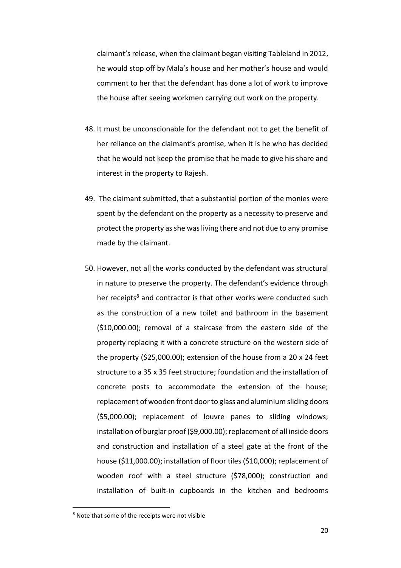claimant's release, when the claimant began visiting Tableland in 2012, he would stop off by Mala's house and her mother's house and would comment to her that the defendant has done a lot of work to improve the house after seeing workmen carrying out work on the property.

- 48. It must be unconscionable for the defendant not to get the benefit of her reliance on the claimant's promise, when it is he who has decided that he would not keep the promise that he made to give his share and interest in the property to Rajesh.
- 49. The claimant submitted, that a substantial portion of the monies were spent by the defendant on the property as a necessity to preserve and protect the property as she was living there and not due to any promise made by the claimant.
- 50. However, not all the works conducted by the defendant was structural in nature to preserve the property. The defendant's evidence through her receipts<sup>8</sup> and contractor is that other works were conducted such as the construction of a new toilet and bathroom in the basement (\$10,000.00); removal of a staircase from the eastern side of the property replacing it with a concrete structure on the western side of the property (\$25,000.00); extension of the house from a 20 x 24 feet structure to a 35 x 35 feet structure; foundation and the installation of concrete posts to accommodate the extension of the house; replacement of wooden front door to glass and aluminium sliding doors (\$5,000.00); replacement of louvre panes to sliding windows; installation of burglar proof (\$9,000.00); replacement of all inside doors and construction and installation of a steel gate at the front of the house (\$11,000.00); installation of floor tiles (\$10,000); replacement of wooden roof with a steel structure (\$78,000); construction and installation of built-in cupboards in the kitchen and bedrooms

<sup>8</sup> Note that some of the receipts were not visible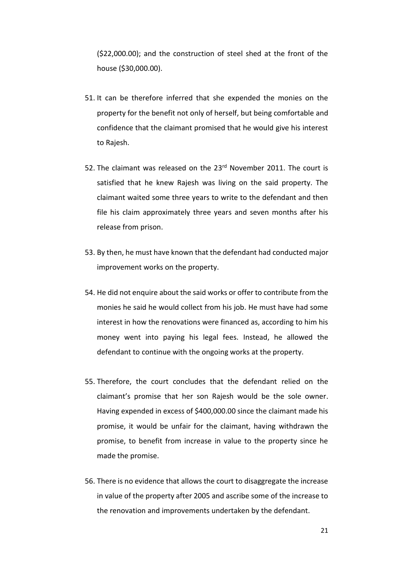(\$22,000.00); and the construction of steel shed at the front of the house (\$30,000.00).

- 51. It can be therefore inferred that she expended the monies on the property for the benefit not only of herself, but being comfortable and confidence that the claimant promised that he would give his interest to Rajesh.
- 52. The claimant was released on the 23<sup>rd</sup> November 2011. The court is satisfied that he knew Rajesh was living on the said property. The claimant waited some three years to write to the defendant and then file his claim approximately three years and seven months after his release from prison.
- 53. By then, he must have known that the defendant had conducted major improvement works on the property.
- 54. He did not enquire about the said works or offer to contribute from the monies he said he would collect from his job. He must have had some interest in how the renovations were financed as, according to him his money went into paying his legal fees. Instead, he allowed the defendant to continue with the ongoing works at the property.
- 55. Therefore, the court concludes that the defendant relied on the claimant's promise that her son Rajesh would be the sole owner. Having expended in excess of \$400,000.00 since the claimant made his promise, it would be unfair for the claimant, having withdrawn the promise, to benefit from increase in value to the property since he made the promise.
- 56. There is no evidence that allows the court to disaggregate the increase in value of the property after 2005 and ascribe some of the increase to the renovation and improvements undertaken by the defendant.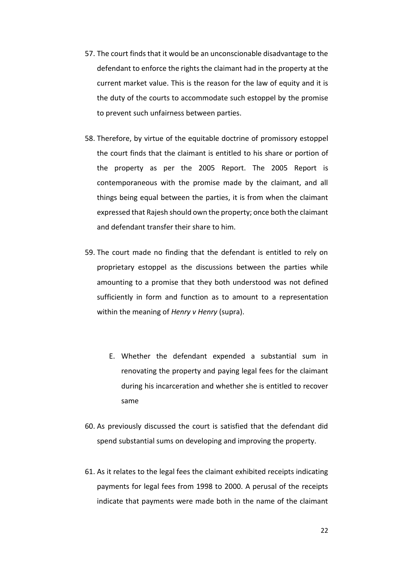- 57. The court finds that it would be an unconscionable disadvantage to the defendant to enforce the rights the claimant had in the property at the current market value. This is the reason for the law of equity and it is the duty of the courts to accommodate such estoppel by the promise to prevent such unfairness between parties.
- 58. Therefore, by virtue of the equitable doctrine of promissory estoppel the court finds that the claimant is entitled to his share or portion of the property as per the 2005 Report. The 2005 Report is contemporaneous with the promise made by the claimant, and all things being equal between the parties, it is from when the claimant expressed that Rajesh should own the property; once both the claimant and defendant transfer their share to him.
- 59. The court made no finding that the defendant is entitled to rely on proprietary estoppel as the discussions between the parties while amounting to a promise that they both understood was not defined sufficiently in form and function as to amount to a representation within the meaning of *Henry v Henry* (supra).
	- E. Whether the defendant expended a substantial sum in renovating the property and paying legal fees for the claimant during his incarceration and whether she is entitled to recover same
- 60. As previously discussed the court is satisfied that the defendant did spend substantial sums on developing and improving the property.
- 61. As it relates to the legal fees the claimant exhibited receipts indicating payments for legal fees from 1998 to 2000. A perusal of the receipts indicate that payments were made both in the name of the claimant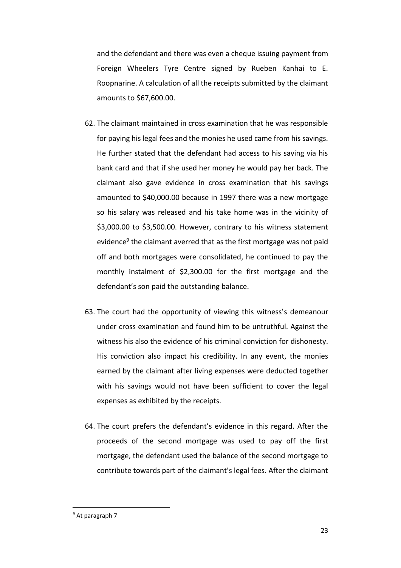and the defendant and there was even a cheque issuing payment from Foreign Wheelers Tyre Centre signed by Rueben Kanhai to E. Roopnarine. A calculation of all the receipts submitted by the claimant amounts to \$67,600.00.

- 62. The claimant maintained in cross examination that he was responsible for paying his legal fees and the monies he used came from his savings. He further stated that the defendant had access to his saving via his bank card and that if she used her money he would pay her back. The claimant also gave evidence in cross examination that his savings amounted to \$40,000.00 because in 1997 there was a new mortgage so his salary was released and his take home was in the vicinity of \$3,000.00 to \$3,500.00. However, contrary to his witness statement evidence<sup>9</sup> the claimant averred that as the first mortgage was not paid off and both mortgages were consolidated, he continued to pay the monthly instalment of \$2,300.00 for the first mortgage and the defendant's son paid the outstanding balance.
- 63. The court had the opportunity of viewing this witness's demeanour under cross examination and found him to be untruthful. Against the witness his also the evidence of his criminal conviction for dishonesty. His conviction also impact his credibility. In any event, the monies earned by the claimant after living expenses were deducted together with his savings would not have been sufficient to cover the legal expenses as exhibited by the receipts.
- 64. The court prefers the defendant's evidence in this regard. After the proceeds of the second mortgage was used to pay off the first mortgage, the defendant used the balance of the second mortgage to contribute towards part of the claimant's legal fees. After the claimant

<sup>9</sup> At paragraph 7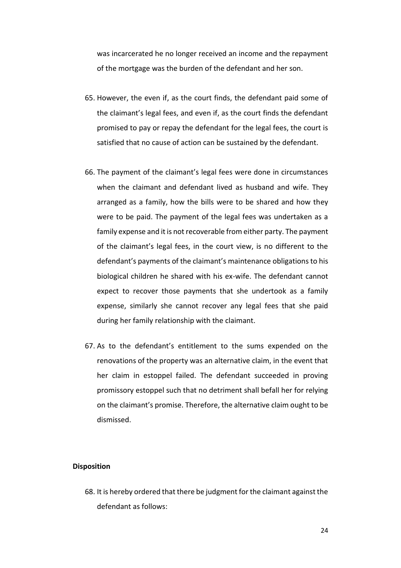was incarcerated he no longer received an income and the repayment of the mortgage was the burden of the defendant and her son.

- 65. However, the even if, as the court finds, the defendant paid some of the claimant's legal fees, and even if, as the court finds the defendant promised to pay or repay the defendant for the legal fees, the court is satisfied that no cause of action can be sustained by the defendant.
- 66. The payment of the claimant's legal fees were done in circumstances when the claimant and defendant lived as husband and wife. They arranged as a family, how the bills were to be shared and how they were to be paid. The payment of the legal fees was undertaken as a family expense and it is not recoverable from either party. The payment of the claimant's legal fees, in the court view, is no different to the defendant's payments of the claimant's maintenance obligations to his biological children he shared with his ex-wife. The defendant cannot expect to recover those payments that she undertook as a family expense, similarly she cannot recover any legal fees that she paid during her family relationship with the claimant.
- 67. As to the defendant's entitlement to the sums expended on the renovations of the property was an alternative claim, in the event that her claim in estoppel failed. The defendant succeeded in proving promissory estoppel such that no detriment shall befall her for relying on the claimant's promise. Therefore, the alternative claim ought to be dismissed.

#### **Disposition**

68. It is hereby ordered that there be judgment for the claimant against the defendant as follows: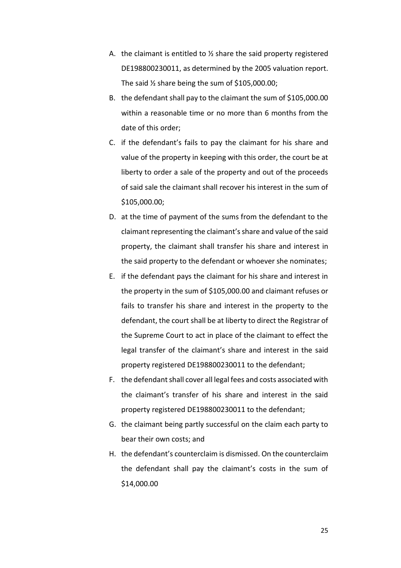- A. the claimant is entitled to  $\frac{1}{2}$  share the said property registered DE198800230011, as determined by the 2005 valuation report. The said ½ share being the sum of \$105,000.00;
- B. the defendant shall pay to the claimant the sum of \$105,000.00 within a reasonable time or no more than 6 months from the date of this order;
- C. if the defendant's fails to pay the claimant for his share and value of the property in keeping with this order, the court be at liberty to order a sale of the property and out of the proceeds of said sale the claimant shall recover his interest in the sum of \$105,000.00;
- D. at the time of payment of the sums from the defendant to the claimant representing the claimant's share and value of the said property, the claimant shall transfer his share and interest in the said property to the defendant or whoever she nominates;
- E. if the defendant pays the claimant for his share and interest in the property in the sum of \$105,000.00 and claimant refuses or fails to transfer his share and interest in the property to the defendant, the court shall be at liberty to direct the Registrar of the Supreme Court to act in place of the claimant to effect the legal transfer of the claimant's share and interest in the said property registered DE198800230011 to the defendant;
- F. the defendant shall cover all legal fees and costs associated with the claimant's transfer of his share and interest in the said property registered DE198800230011 to the defendant;
- G. the claimant being partly successful on the claim each party to bear their own costs; and
- H. the defendant's counterclaim is dismissed. On the counterclaim the defendant shall pay the claimant's costs in the sum of \$14,000.00